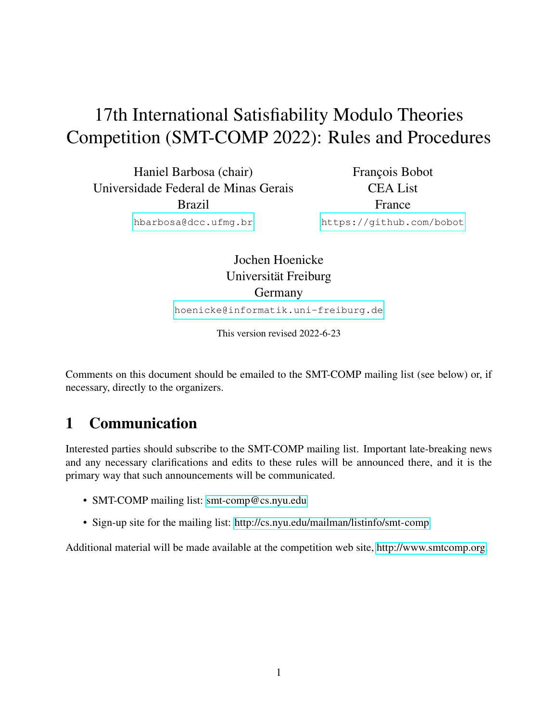# 17th International Satisfiability Modulo Theories Competition (SMT-COMP 2022): Rules and Procedures

Haniel Barbosa (chair) Universidade Federal de Minas Gerais Brazil

François Bobot CEA List France [https://github.com/bobot](mailto:Francois.BOBOT@cea.fr)

[hbarbosa@dcc.ufmg.br](mailto:hbarbosa@dcc.ufmg.br)

Jochen Hoenicke Universität Freiburg Germany

[hoenicke@informatik.uni-freiburg.de](mailto:hoenicke@informatik.uni-freiburg.de)

This version revised 2022-6-23

Comments on this document should be emailed to the SMT-COMP mailing list (see below) or, if necessary, directly to the organizers.

# 1 Communication

Interested parties should subscribe to the SMT-COMP mailing list. Important late-breaking news and any necessary clarifications and edits to these rules will be announced there, and it is the primary way that such announcements will be communicated.

- SMT-COMP mailing list: [smt-comp@cs.nyu.edu](mailto:smt-comp@cs.nyu.edu)
- Sign-up site for the mailing list:<http://cs.nyu.edu/mailman/listinfo/smt-comp>

Additional material will be made available at the competition web site, [http://www.smtcomp.org.](http://www.smtcomp.org)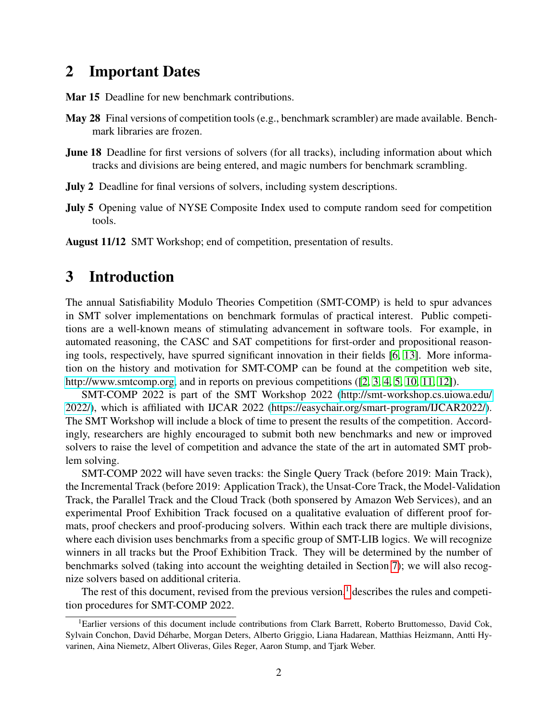## <span id="page-1-1"></span>2 Important Dates

Mar 15 Deadline for new benchmark contributions.

- May 28 Final versions of competition tools (e.g., benchmark scrambler) are made available. Benchmark libraries are frozen.
- June 18 Deadline for first versions of solvers (for all tracks), including information about which tracks and divisions are being entered, and magic numbers for benchmark scrambling.
- July 2 Deadline for final versions of solvers, including system descriptions.
- July 5 Opening value of NYSE Composite Index used to compute random seed for competition tools.

August 11/12 SMT Workshop; end of competition, presentation of results.

## 3 Introduction

The annual Satisfiability Modulo Theories Competition (SMT-COMP) is held to spur advances in SMT solver implementations on benchmark formulas of practical interest. Public competitions are a well-known means of stimulating advancement in software tools. For example, in automated reasoning, the CASC and SAT competitions for first-order and propositional reasoning tools, respectively, have spurred significant innovation in their fields [\[6,](#page-23-0) [13\]](#page-24-0). More information on the history and motivation for SMT-COMP can be found at the competition web site, [http://www.smtcomp.org,](http://www.smtcomp.org) and in reports on previous competitions ([\[2,](#page-23-1) [3,](#page-23-2) [4,](#page-23-3) [5,](#page-23-4) [10,](#page-23-5) [11,](#page-23-6) [12\]](#page-23-7)).

SMT-COMP 2022 is part of the SMT Workshop 2022 [\(http://smt-workshop.cs.uiowa.edu/](http://smt-workshop.cs.uiowa.edu/2022/) [2022/\)](http://smt-workshop.cs.uiowa.edu/2022/), which is affiliated with IJCAR 2022 [\(https://easychair.org/smart-program/IJCAR2022/\)](https://easychair.org/smart-program/IJCAR2022/). The SMT Workshop will include a block of time to present the results of the competition. Accordingly, researchers are highly encouraged to submit both new benchmarks and new or improved solvers to raise the level of competition and advance the state of the art in automated SMT problem solving.

SMT-COMP 2022 will have seven tracks: the Single Query Track (before 2019: Main Track), the Incremental Track (before 2019: Application Track), the Unsat-Core Track, the Model-Validation Track, the Parallel Track and the Cloud Track (both sponsered by Amazon Web Services), and an experimental Proof Exhibition Track focused on a qualitative evaluation of different proof formats, proof checkers and proof-producing solvers. Within each track there are multiple divisions, where each division uses benchmarks from a specific group of SMT-LIB logics. We will recognize winners in all tracks but the Proof Exhibition Track. They will be determined by the number of benchmarks solved (taking into account the weighting detailed in Section [7\)](#page-15-0); we will also recognize solvers based on additional criteria.

The rest of this document, revised from the previous version, $<sup>1</sup>$  $<sup>1</sup>$  $<sup>1</sup>$  describes the rules and competi-</sup> tion procedures for SMT-COMP 2022.

<span id="page-1-0"></span><sup>&</sup>lt;sup>1</sup>Earlier versions of this document include contributions from Clark Barrett, Roberto Bruttomesso, David Cok, Sylvain Conchon, David Deharbe, Morgan Deters, Alberto Griggio, Liana Hadarean, Matthias Heizmann, Antti Hy- ´ varinen, Aina Niemetz, Albert Oliveras, Giles Reger, Aaron Stump, and Tjark Weber.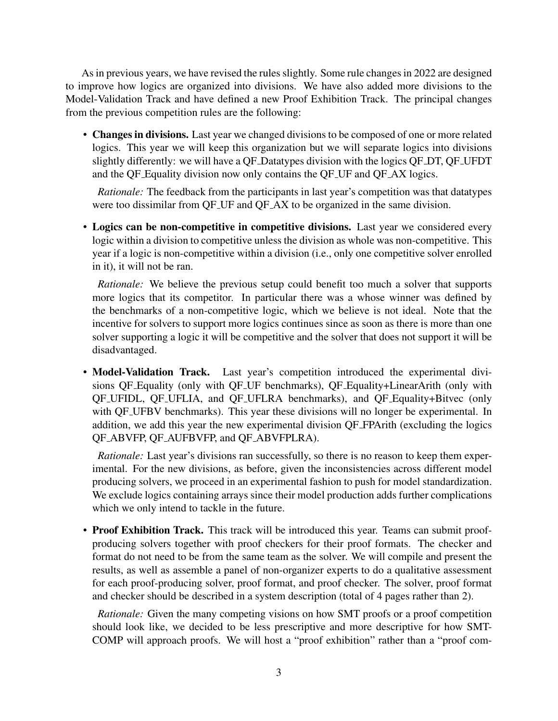As in previous years, we have revised the rules slightly. Some rule changes in 2022 are designed to improve how logics are organized into divisions. We have also added more divisions to the Model-Validation Track and have defined a new Proof Exhibition Track. The principal changes from the previous competition rules are the following:

• Changes in divisions. Last year we changed divisions to be composed of one or more related logics. This year we will keep this organization but we will separate logics into divisions slightly differently: we will have a QF Datatypes division with the logics QF DT, QF UFDT and the QF Equality division now only contains the QF UF and QF AX logics.

*Rationale:* The feedback from the participants in last year's competition was that datatypes were too dissimilar from QF\_UF and QF\_AX to be organized in the same division.

• Logics can be non-competitive in competitive divisions. Last year we considered every logic within a division to competitive unless the division as whole was non-competitive. This year if a logic is non-competitive within a division (i.e., only one competitive solver enrolled in it), it will not be ran.

*Rationale:* We believe the previous setup could benefit too much a solver that supports more logics that its competitor. In particular there was a whose winner was defined by the benchmarks of a non-competitive logic, which we believe is not ideal. Note that the incentive for solvers to support more logics continues since as soon as there is more than one solver supporting a logic it will be competitive and the solver that does not support it will be disadvantaged.

• Model-Validation Track. Last year's competition introduced the experimental divisions QF Equality (only with QF UF benchmarks), QF Equality+LinearArith (only with QF UFIDL, QF UFLIA, and QF UFLRA benchmarks), and QF Equality+Bitvec (only with QF<sub>-</sub>UFBV benchmarks). This year these divisions will no longer be experimental. In addition, we add this year the new experimental division QF FPArith (excluding the logics QF ABVFP, QF AUFBVFP, and QF ABVFPLRA).

*Rationale:* Last year's divisions ran successfully, so there is no reason to keep them experimental. For the new divisions, as before, given the inconsistencies across different model producing solvers, we proceed in an experimental fashion to push for model standardization. We exclude logics containing arrays since their model production adds further complications which we only intend to tackle in the future.

• Proof Exhibition Track. This track will be introduced this year. Teams can submit proofproducing solvers together with proof checkers for their proof formats. The checker and format do not need to be from the same team as the solver. We will compile and present the results, as well as assemble a panel of non-organizer experts to do a qualitative assessment for each proof-producing solver, proof format, and proof checker. The solver, proof format and checker should be described in a system description (total of 4 pages rather than 2).

*Rationale:* Given the many competing visions on how SMT proofs or a proof competition should look like, we decided to be less prescriptive and more descriptive for how SMT-COMP will approach proofs. We will host a "proof exhibition" rather than a "proof com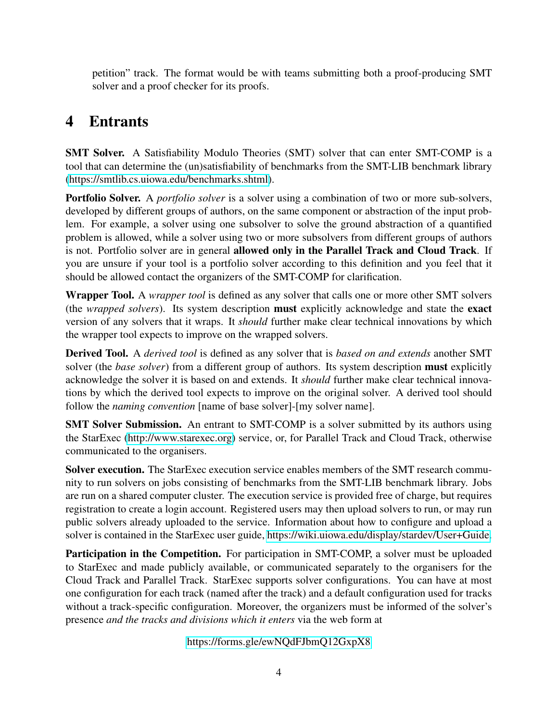petition" track. The format would be with teams submitting both a proof-producing SMT solver and a proof checker for its proofs.

# <span id="page-3-0"></span>4 Entrants

SMT Solver. A Satisfiability Modulo Theories (SMT) solver that can enter SMT-COMP is a tool that can determine the (un)satisfiability of benchmarks from the SMT-LIB benchmark library [\(https://smtlib.cs.uiowa.edu/benchmarks.shtml\)](https://smtlib.cs.uiowa.edu/benchmarks.shtml).

Portfolio Solver. A *portfolio solver* is a solver using a combination of two or more sub-solvers, developed by different groups of authors, on the same component or abstraction of the input problem. For example, a solver using one subsolver to solve the ground abstraction of a quantified problem is allowed, while a solver using two or more subsolvers from different groups of authors is not. Portfolio solver are in general allowed only in the Parallel Track and Cloud Track. If you are unsure if your tool is a portfolio solver according to this definition and you feel that it should be allowed contact the organizers of the SMT-COMP for clarification.

Wrapper Tool. A *wrapper tool* is defined as any solver that calls one or more other SMT solvers (the *wrapped solvers*). Its system description must explicitly acknowledge and state the exact version of any solvers that it wraps. It *should* further make clear technical innovations by which the wrapper tool expects to improve on the wrapped solvers.

Derived Tool. A *derived tool* is defined as any solver that is *based on and extends* another SMT solver (the *base solver*) from a different group of authors. Its system description must explicitly acknowledge the solver it is based on and extends. It *should* further make clear technical innovations by which the derived tool expects to improve on the original solver. A derived tool should follow the *naming convention* [name of base solver]-[my solver name].

SMT Solver Submission. An entrant to SMT-COMP is a solver submitted by its authors using the StarExec [\(http://www.starexec.org\)](http://www.starexec.org) service, or, for Parallel Track and Cloud Track, otherwise communicated to the organisers.

Solver execution. The StarExec execution service enables members of the SMT research community to run solvers on jobs consisting of benchmarks from the SMT-LIB benchmark library. Jobs are run on a shared computer cluster. The execution service is provided free of charge, but requires registration to create a login account. Registered users may then upload solvers to run, or may run public solvers already uploaded to the service. Information about how to configure and upload a solver is contained in the StarExec user guide, [https://wiki.uiowa.edu/display/stardev/User+Guide.](https://wiki.uiowa.edu/display/stardev/User+Guide)

Participation in the Competition. For participation in SMT-COMP, a solver must be uploaded to StarExec and made publicly available, or communicated separately to the organisers for the Cloud Track and Parallel Track. StarExec supports solver configurations. You can have at most one configuration for each track (named after the track) and a default configuration used for tracks without a track-specific configuration. Moreover, the organizers must be informed of the solver's presence *and the tracks and divisions which it enters* via the web form at

<https://forms.gle/ewNQdFJbmQ12GxpX8>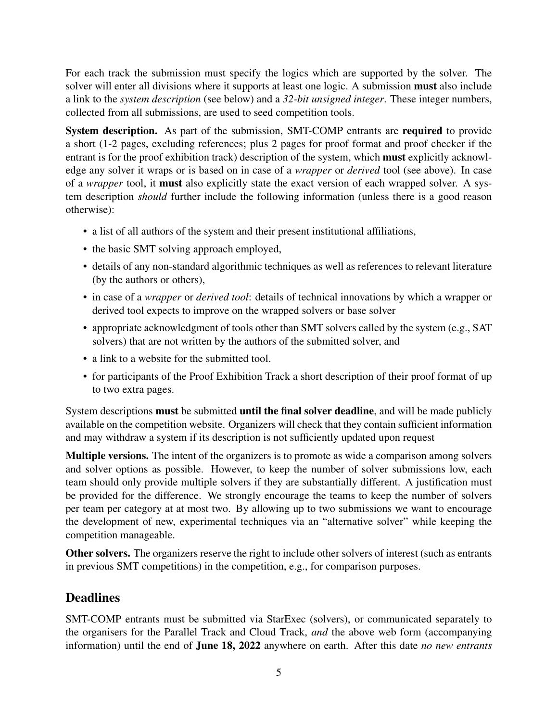For each track the submission must specify the logics which are supported by the solver. The solver will enter all divisions where it supports at least one logic. A submission must also include a link to the *system description* (see below) and a *32-bit unsigned integer*. These integer numbers, collected from all submissions, are used to seed competition tools.

System description. As part of the submission, SMT-COMP entrants are required to provide a short (1-2 pages, excluding references; plus 2 pages for proof format and proof checker if the entrant is for the proof exhibition track) description of the system, which must explicitly acknowledge any solver it wraps or is based on in case of a *wrapper* or *derived* tool (see above). In case of a *wrapper* tool, it must also explicitly state the exact version of each wrapped solver. A system description *should* further include the following information (unless there is a good reason otherwise):

- a list of all authors of the system and their present institutional affiliations,
- the basic SMT solving approach employed,
- details of any non-standard algorithmic techniques as well as references to relevant literature (by the authors or others),
- in case of a *wrapper* or *derived tool*: details of technical innovations by which a wrapper or derived tool expects to improve on the wrapped solvers or base solver
- appropriate acknowledgment of tools other than SMT solvers called by the system (e.g., SAT solvers) that are not written by the authors of the submitted solver, and
- a link to a website for the submitted tool.
- for participants of the Proof Exhibition Track a short description of their proof format of up to two extra pages.

System descriptions must be submitted until the final solver deadline, and will be made publicly available on the competition website. Organizers will check that they contain sufficient information and may withdraw a system if its description is not sufficiently updated upon request

Multiple versions. The intent of the organizers is to promote as wide a comparison among solvers and solver options as possible. However, to keep the number of solver submissions low, each team should only provide multiple solvers if they are substantially different. A justification must be provided for the difference. We strongly encourage the teams to keep the number of solvers per team per category at at most two. By allowing up to two submissions we want to encourage the development of new, experimental techniques via an "alternative solver" while keeping the competition manageable.

Other solvers. The organizers reserve the right to include other solvers of interest (such as entrants in previous SMT competitions) in the competition, e.g., for comparison purposes.

## **Deadlines**

SMT-COMP entrants must be submitted via StarExec (solvers), or communicated separately to the organisers for the Parallel Track and Cloud Track, *and* the above web form (accompanying information) until the end of June 18, 2022 anywhere on earth. After this date *no new entrants*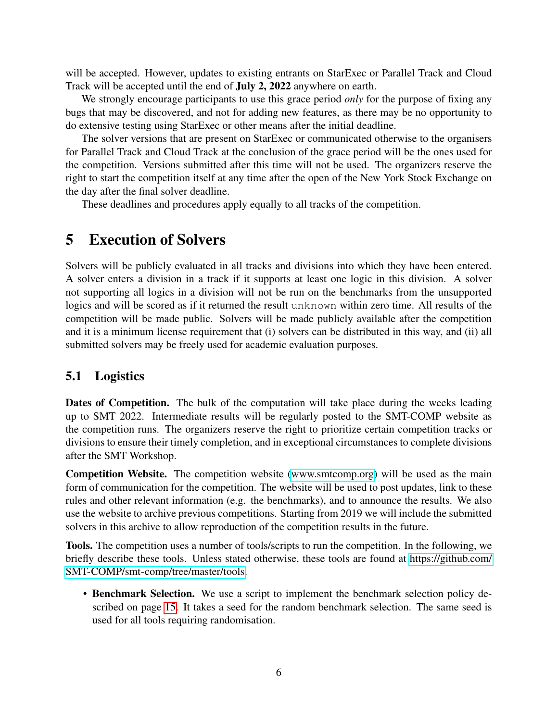will be accepted. However, updates to existing entrants on StarExec or Parallel Track and Cloud Track will be accepted until the end of July 2, 2022 anywhere on earth.

We strongly encourage participants to use this grace period *only* for the purpose of fixing any bugs that may be discovered, and not for adding new features, as there may be no opportunity to do extensive testing using StarExec or other means after the initial deadline.

The solver versions that are present on StarExec or communicated otherwise to the organisers for Parallel Track and Cloud Track at the conclusion of the grace period will be the ones used for the competition. Versions submitted after this time will not be used. The organizers reserve the right to start the competition itself at any time after the open of the New York Stock Exchange on the day after the final solver deadline.

These deadlines and procedures apply equally to all tracks of the competition.

## 5 Execution of Solvers

Solvers will be publicly evaluated in all tracks and divisions into which they have been entered. A solver enters a division in a track if it supports at least one logic in this division. A solver not supporting all logics in a division will not be run on the benchmarks from the unsupported logics and will be scored as if it returned the result unknown within zero time. All results of the competition will be made public. Solvers will be made publicly available after the competition and it is a minimum license requirement that (i) solvers can be distributed in this way, and (ii) all submitted solvers may be freely used for academic evaluation purposes.

#### <span id="page-5-0"></span>5.1 Logistics

Dates of Competition. The bulk of the computation will take place during the weeks leading up to SMT 2022. Intermediate results will be regularly posted to the SMT-COMP website as the competition runs. The organizers reserve the right to prioritize certain competition tracks or divisions to ensure their timely completion, and in exceptional circumstances to complete divisions after the SMT Workshop.

Competition Website. The competition website [\(www.smtcomp.org\)](www.smtcomp.org) will be used as the main form of communication for the competition. The website will be used to post updates, link to these rules and other relevant information (e.g. the benchmarks), and to announce the results. We also use the website to archive previous competitions. Starting from 2019 we will include the submitted solvers in this archive to allow reproduction of the competition results in the future.

Tools. The competition uses a number of tools/scripts to run the competition. In the following, we briefly describe these tools. Unless stated otherwise, these tools are found at [https://github.com/](https://github.com/SMT-COMP/smt-comp/tree/master/tools) [SMT-COMP/smt-comp/tree/master/tools.](https://github.com/SMT-COMP/smt-comp/tree/master/tools)

• Benchmark Selection. We use a script to implement the benchmark selection policy described on page [15.](#page-13-0) It takes a seed for the random benchmark selection. The same seed is used for all tools requiring randomisation.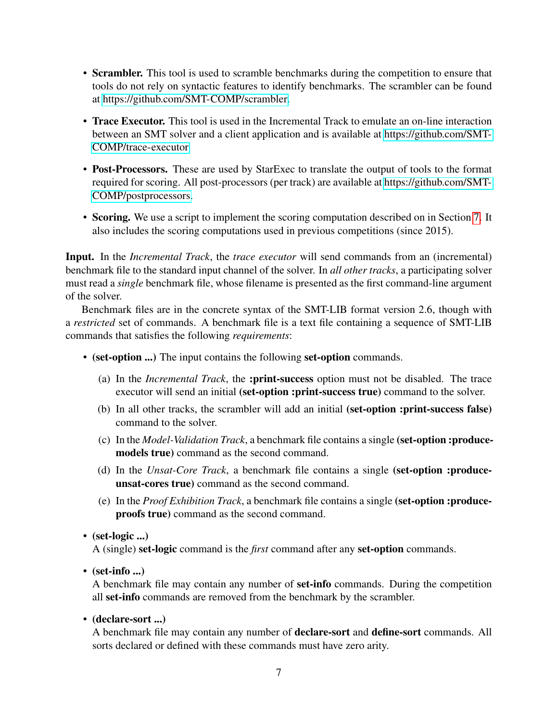- Scrambler. This tool is used to scramble benchmarks during the competition to ensure that tools do not rely on syntactic features to identify benchmarks. The scrambler can be found at [https://github.com/SMT-COMP/scrambler.](https://github.com/SMT-COMP/scrambler)
- **Trace Executor.** This tool is used in the Incremental Track to emulate an on-line interaction between an SMT solver and a client application and is available at [https://github.com/SMT-](https://github.com/SMT-COMP/trace-executor)[COMP/trace-executor](https://github.com/SMT-COMP/trace-executor)
- Post-Processors. These are used by StarExec to translate the output of tools to the format required for scoring. All post-processors (per track) are available at [https://github.com/SMT-](https://github.com/SMT-COMP/postprocessors)[COMP/postprocessors.](https://github.com/SMT-COMP/postprocessors)
- Scoring. We use a script to implement the scoring computation described on in Section [7.](#page-15-0) It also includes the scoring computations used in previous competitions (since 2015).

Input. In the *Incremental Track*, the *trace executor* will send commands from an (incremental) benchmark file to the standard input channel of the solver. In *all other tracks*, a participating solver must read a *single* benchmark file, whose filename is presented as the first command-line argument of the solver.

Benchmark files are in the concrete syntax of the SMT-LIB format version 2.6, though with a *restricted* set of commands. A benchmark file is a text file containing a sequence of SMT-LIB commands that satisfies the following *requirements*:

- (set-option ...) The input contains the following set-option commands.
	- (a) In the *Incremental Track*, the :print-success option must not be disabled. The trace executor will send an initial (set-option :print-success true) command to the solver.
	- (b) In all other tracks, the scrambler will add an initial (set-option :print-success false) command to the solver.
	- (c) In the *Model-Validation Track*, a benchmark file contains a single (set-option :producemodels true) command as the second command.
	- (d) In the *Unsat-Core Track*, a benchmark file contains a single (set-option :produceunsat-cores true) command as the second command.
	- (e) In the *Proof Exhibition Track*, a benchmark file contains a single (set-option :produceproofs true) command as the second command.
- (set-logic  $\ldots$ )

A (single) set-logic command is the *first* command after any set-option commands.

• (set-info ...)

A benchmark file may contain any number of set-info commands. During the competition all set-info commands are removed from the benchmark by the scrambler.

• (declare-sort ...)

A benchmark file may contain any number of declare-sort and define-sort commands. All sorts declared or defined with these commands must have zero arity.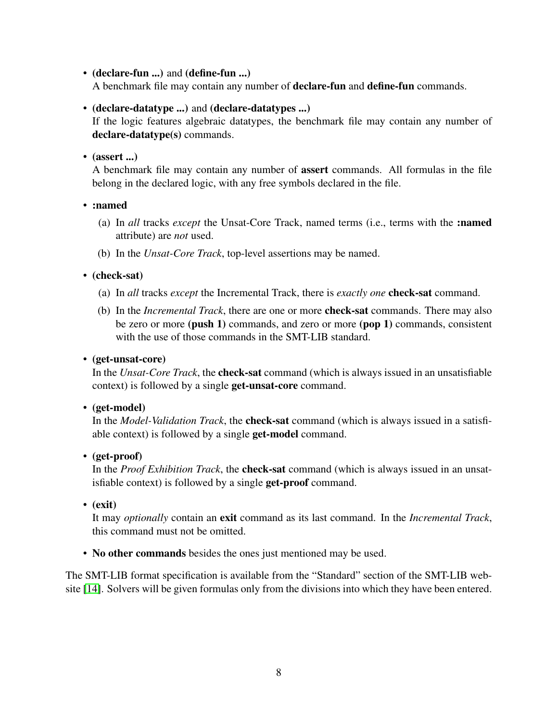• (declare-fun ...) and (define-fun ...)

A benchmark file may contain any number of declare-fun and define-fun commands.

#### • (declare-datatype ...) and (declare-datatypes ...)

If the logic features algebraic datatypes, the benchmark file may contain any number of declare-datatype(s) commands.

 $\bullet$  (assert ...)

A benchmark file may contain any number of assert commands. All formulas in the file belong in the declared logic, with any free symbols declared in the file.

• :named

- (a) In *all* tracks *except* the Unsat-Core Track, named terms (i.e., terms with the :named attribute) are *not* used.
- (b) In the *Unsat-Core Track*, top-level assertions may be named.

• (check-sat)

- (a) In *all* tracks *except* the Incremental Track, there is *exactly one* check-sat command.
- (b) In the *Incremental Track*, there are one or more check-sat commands. There may also be zero or more (push 1) commands, and zero or more (pop 1) commands, consistent with the use of those commands in the SMT-LIB standard.

• (get-unsat-core)

In the *Unsat-Core Track*, the check-sat command (which is always issued in an unsatisfiable context) is followed by a single get-unsat-core command.

• (get-model)

In the *Model-Validation Track*, the check-sat command (which is always issued in a satisfiable context) is followed by a single get-model command.

• (get-proof)

In the *Proof Exhibition Track*, the check-sat command (which is always issued in an unsatisfiable context) is followed by a single get-proof command.

• (exit)

It may *optionally* contain an exit command as its last command. In the *Incremental Track*, this command must not be omitted.

• No other commands besides the ones just mentioned may be used.

The SMT-LIB format specification is available from the "Standard" section of the SMT-LIB website [\[14\]](#page-24-1). Solvers will be given formulas only from the divisions into which they have been entered.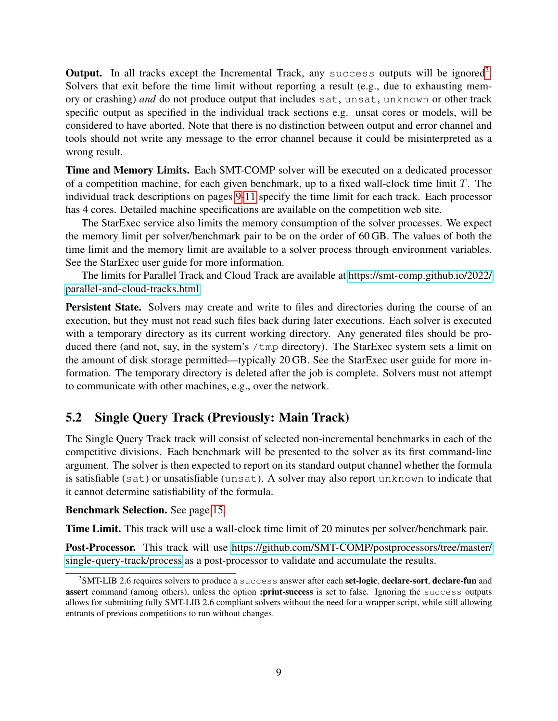Output. In all tracks except the Incremental Track, any success outputs will be ignored<sup>[2](#page-8-0)</sup>. Solvers that exit before the time limit without reporting a result (e.g., due to exhausting memory or crashing) *and* do not produce output that includes sat, unsat, unknown or other track specific output as specified in the individual track sections e.g. unsat cores or models, will be considered to have aborted. Note that there is no distinction between output and error channel and tools should not write any message to the error channel because it could be misinterpreted as a wrong result.

Time and Memory Limits. Each SMT-COMP solver will be executed on a dedicated processor of a competition machine, for each given benchmark, up to a fixed wall-clock time limit  $T$ . The individual track descriptions on pages [9-](#page-8-1)[11](#page-10-0) specify the time limit for each track. Each processor has 4 cores. Detailed machine specifications are available on the competition web site.

The StarExec service also limits the memory consumption of the solver processes. We expect the memory limit per solver/benchmark pair to be on the order of 60 GB. The values of both the time limit and the memory limit are available to a solver process through environment variables. See the StarExec user guide for more information.

The limits for Parallel Track and Cloud Track are available at [https://smt-comp.github.io/2022/](https://smt-comp.github.io/2022/parallel-and-cloud-tracks.html) [parallel-and-cloud-tracks.html.](https://smt-comp.github.io/2022/parallel-and-cloud-tracks.html)

Persistent State. Solvers may create and write to files and directories during the course of an execution, but they must not read such files back during later executions. Each solver is executed with a temporary directory as its current working directory. Any generated files should be produced there (and not, say, in the system's /tmp directory). The StarExec system sets a limit on the amount of disk storage permitted—typically 20 GB. See the StarExec user guide for more information. The temporary directory is deleted after the job is complete. Solvers must not attempt to communicate with other machines, e.g., over the network.

## <span id="page-8-1"></span>5.2 Single Query Track (Previously: Main Track)

The Single Query Track track will consist of selected non-incremental benchmarks in each of the competitive divisions. Each benchmark will be presented to the solver as its first command-line argument. The solver is then expected to report on its standard output channel whether the formula is satisfiable (sat) or unsatisfiable (unsat). A solver may also report unknown to indicate that it cannot determine satisfiability of the formula.

#### Benchmark Selection. See page [15.](#page-13-0)

Time Limit. This track will use a wall-clock time limit of 20 minutes per solver/benchmark pair.

Post-Processor. This track will use [https://github.com/SMT-COMP/postprocessors/tree/master/](https://github.com/SMT-COMP/postprocessors/tree/master/single-query-track/process) [single-query-track/process](https://github.com/SMT-COMP/postprocessors/tree/master/single-query-track/process) as a post-processor to validate and accumulate the results.

<span id="page-8-0"></span><sup>&</sup>lt;sup>2</sup>SMT-LIB 2.6 requires solvers to produce a success answer after each set-logic, declare-sort, declare-fun and assert command (among others), unless the option :print-success is set to false. Ignoring the success outputs allows for submitting fully SMT-LIB 2.6 compliant solvers without the need for a wrapper script, while still allowing entrants of previous competitions to run without changes.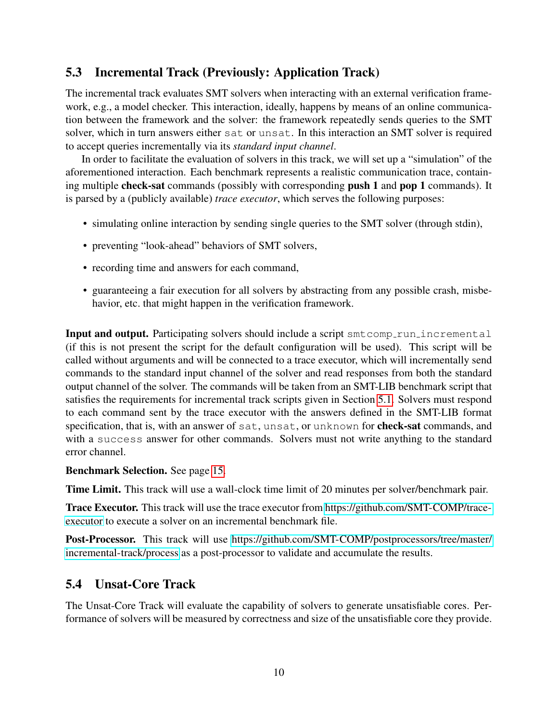## 5.3 Incremental Track (Previously: Application Track)

The incremental track evaluates SMT solvers when interacting with an external verification framework, e.g., a model checker. This interaction, ideally, happens by means of an online communication between the framework and the solver: the framework repeatedly sends queries to the SMT solver, which in turn answers either sat or unsat. In this interaction an SMT solver is required to accept queries incrementally via its *standard input channel*.

In order to facilitate the evaluation of solvers in this track, we will set up a "simulation" of the aforementioned interaction. Each benchmark represents a realistic communication trace, containing multiple check-sat commands (possibly with corresponding push 1 and pop 1 commands). It is parsed by a (publicly available) *trace executor*, which serves the following purposes:

- simulating online interaction by sending single queries to the SMT solver (through stdin),
- preventing "look-ahead" behaviors of SMT solvers,
- recording time and answers for each command,
- guaranteeing a fair execution for all solvers by abstracting from any possible crash, misbehavior, etc. that might happen in the verification framework.

**Input and output.** Participating solvers should include a script smt comp run incremental (if this is not present the script for the default configuration will be used). This script will be called without arguments and will be connected to a trace executor, which will incrementally send commands to the standard input channel of the solver and read responses from both the standard output channel of the solver. The commands will be taken from an SMT-LIB benchmark script that satisfies the requirements for incremental track scripts given in Section [5.1.](#page-5-0) Solvers must respond to each command sent by the trace executor with the answers defined in the SMT-LIB format specification, that is, with an answer of sat, unsat, or unknown for **check-sat** commands, and with a success answer for other commands. Solvers must not write anything to the standard error channel.

### Benchmark Selection. See page [15.](#page-13-0)

Time Limit. This track will use a wall-clock time limit of 20 minutes per solver/benchmark pair.

Trace Executor. This track will use the trace executor from [https://github.com/SMT-COMP/trace](https://github.com/SMT-COMP/trace-executor)[executor](https://github.com/SMT-COMP/trace-executor) to execute a solver on an incremental benchmark file.

Post-Processor. This track will use [https://github.com/SMT-COMP/postprocessors/tree/master/](https://github.com/SMT-COMP/postprocessors/tree/master/incremental-track/process) [incremental-track/process](https://github.com/SMT-COMP/postprocessors/tree/master/incremental-track/process) as a post-processor to validate and accumulate the results.

## <span id="page-9-0"></span>5.4 Unsat-Core Track

The Unsat-Core Track will evaluate the capability of solvers to generate unsatisfiable cores. Performance of solvers will be measured by correctness and size of the unsatisfiable core they provide.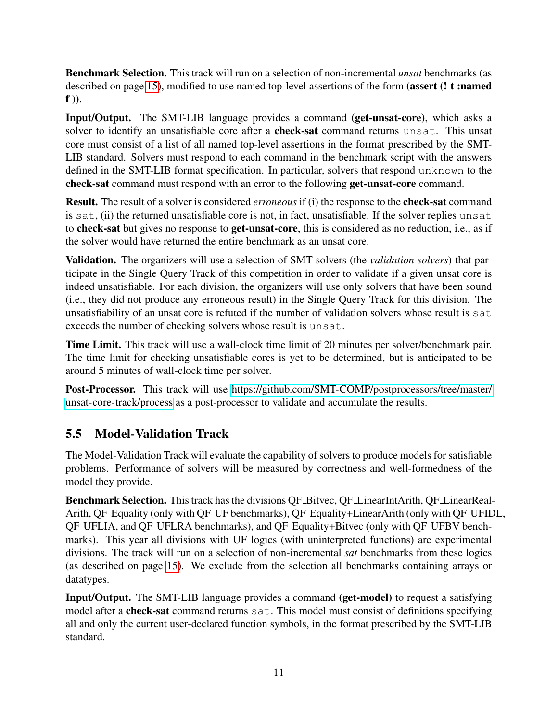Benchmark Selection. This track will run on a selection of non-incremental *unsat* benchmarks (as described on page [15\)](#page-13-0), modified to use named top-level assertions of the form (assert (! t :named  $f$ )).

Input/Output. The SMT-LIB language provides a command (get-unsat-core), which asks a solver to identify an unsatisfiable core after a **check-sat** command returns unsat. This unsat core must consist of a list of all named top-level assertions in the format prescribed by the SMT-LIB standard. Solvers must respond to each command in the benchmark script with the answers defined in the SMT-LIB format specification. In particular, solvers that respond unknown to the check-sat command must respond with an error to the following get-unsat-core command.

Result. The result of a solver is considered *erroneous* if (i) the response to the check-sat command is sat, (ii) the returned unsatisfiable core is not, in fact, unsatisfiable. If the solver replies unsat to check-sat but gives no response to get-unsat-core, this is considered as no reduction, i.e., as if the solver would have returned the entire benchmark as an unsat core.

Validation. The organizers will use a selection of SMT solvers (the *validation solvers*) that participate in the Single Query Track of this competition in order to validate if a given unsat core is indeed unsatisfiable. For each division, the organizers will use only solvers that have been sound (i.e., they did not produce any erroneous result) in the Single Query Track for this division. The unsatisfiability of an unsat core is refuted if the number of validation solvers whose result is sat exceeds the number of checking solvers whose result is unsat.

Time Limit. This track will use a wall-clock time limit of 20 minutes per solver/benchmark pair. The time limit for checking unsatisfiable cores is yet to be determined, but is anticipated to be around 5 minutes of wall-clock time per solver.

Post-Processor. This track will use [https://github.com/SMT-COMP/postprocessors/tree/master/](https://github.com/SMT-COMP/postprocessors/tree/master/unsat-core-track/process) [unsat-core-track/process](https://github.com/SMT-COMP/postprocessors/tree/master/unsat-core-track/process) as a post-processor to validate and accumulate the results.

## <span id="page-10-0"></span>5.5 Model-Validation Track

The Model-Validation Track will evaluate the capability of solvers to produce models for satisfiable problems. Performance of solvers will be measured by correctness and well-formedness of the model they provide.

Benchmark Selection. This track has the divisions QF Bitvec, QF LinearIntArith, QF LinearReal-Arith, QF Equality (only with QF UF benchmarks), QF Equality+LinearArith (only with QF UFIDL, QF UFLIA, and QF UFLRA benchmarks), and QF Equality+Bitvec (only with QF UFBV benchmarks). This year all divisions with UF logics (with uninterpreted functions) are experimental divisions. The track will run on a selection of non-incremental *sat* benchmarks from these logics (as described on page [15\)](#page-13-0). We exclude from the selection all benchmarks containing arrays or datatypes.

Input/Output. The SMT-LIB language provides a command (get-model) to request a satisfying model after a **check-sat** command returns sat. This model must consist of definitions specifying all and only the current user-declared function symbols, in the format prescribed by the SMT-LIB standard.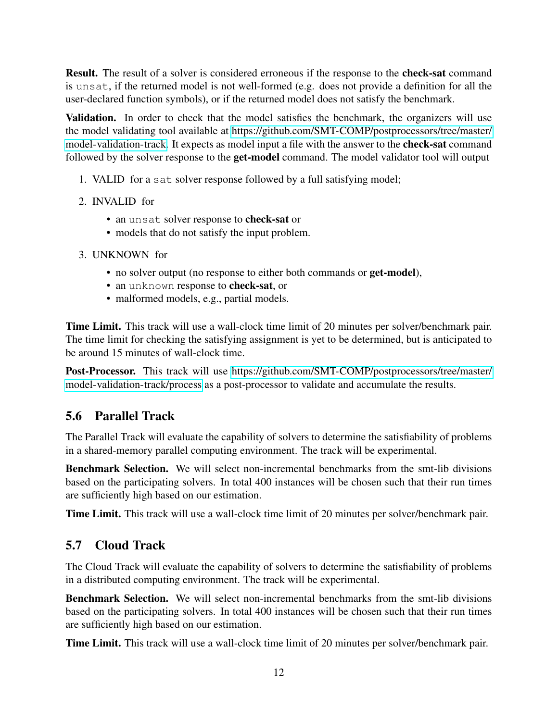Result. The result of a solver is considered erroneous if the response to the check-sat command is unsat, if the returned model is not well-formed (e.g. does not provide a definition for all the user-declared function symbols), or if the returned model does not satisfy the benchmark.

Validation. In order to check that the model satisfies the benchmark, the organizers will use the model validating tool available at [https://github.com/SMT-COMP/postprocessors/tree/master/](https://github.com/SMT-COMP/postprocessors/tree/master/model-validation-track) [model-validation-track.](https://github.com/SMT-COMP/postprocessors/tree/master/model-validation-track) It expects as model input a file with the answer to the check-sat command followed by the solver response to the get-model command. The model validator tool will output

- 1. VALID for a sat solver response followed by a full satisfying model;
- 2. INVALID for
	- an unsat solver response to check-sat or
	- models that do not satisfy the input problem.
- 3. UNKNOWN for
	- no solver output (no response to either both commands or get-model),
	- an unknown response to check-sat, or
	- malformed models, e.g., partial models.

Time Limit. This track will use a wall-clock time limit of 20 minutes per solver/benchmark pair. The time limit for checking the satisfying assignment is yet to be determined, but is anticipated to be around 15 minutes of wall-clock time.

Post-Processor. This track will use [https://github.com/SMT-COMP/postprocessors/tree/master/](https://github.com/SMT-COMP/postprocessors/tree/master/model-validation-track/process) [model-validation-track/process](https://github.com/SMT-COMP/postprocessors/tree/master/model-validation-track/process) as a post-processor to validate and accumulate the results.

## 5.6 Parallel Track

The Parallel Track will evaluate the capability of solvers to determine the satisfiability of problems in a shared-memory parallel computing environment. The track will be experimental.

Benchmark Selection. We will select non-incremental benchmarks from the smt-lib divisions based on the participating solvers. In total 400 instances will be chosen such that their run times are sufficiently high based on our estimation.

Time Limit. This track will use a wall-clock time limit of 20 minutes per solver/benchmark pair.

## 5.7 Cloud Track

The Cloud Track will evaluate the capability of solvers to determine the satisfiability of problems in a distributed computing environment. The track will be experimental.

Benchmark Selection. We will select non-incremental benchmarks from the smt-lib divisions based on the participating solvers. In total 400 instances will be chosen such that their run times are sufficiently high based on our estimation.

Time Limit. This track will use a wall-clock time limit of 20 minutes per solver/benchmark pair.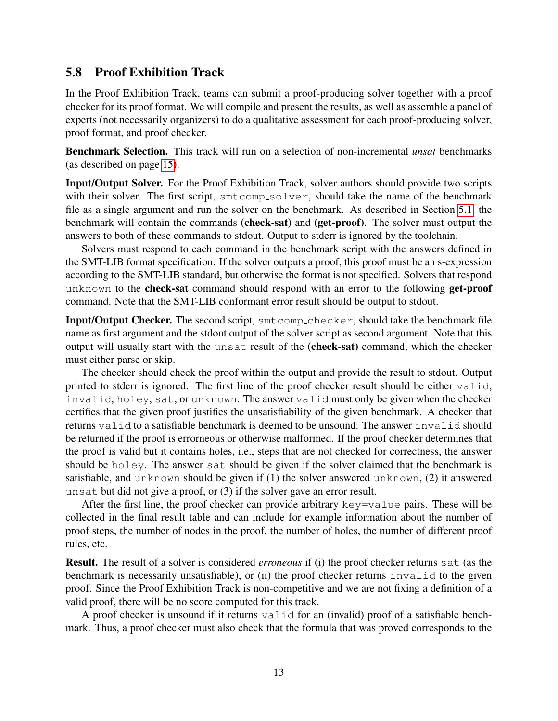### 5.8 Proof Exhibition Track

In the Proof Exhibition Track, teams can submit a proof-producing solver together with a proof checker for its proof format. We will compile and present the results, as well as assemble a panel of experts (not necessarily organizers) to do a qualitative assessment for each proof-producing solver, proof format, and proof checker.

Benchmark Selection. This track will run on a selection of non-incremental *unsat* benchmarks (as described on page [15\)](#page-13-0).

Input/Output Solver. For the Proof Exhibition Track, solver authors should provide two scripts with their solver. The first script,  $smtcomp\_solver$ , should take the name of the benchmark file as a single argument and run the solver on the benchmark. As described in Section [5.1,](#page-5-0) the benchmark will contain the commands (check-sat) and (get-proof). The solver must output the answers to both of these commands to stdout. Output to stderr is ignored by the toolchain.

Solvers must respond to each command in the benchmark script with the answers defined in the SMT-LIB format specification. If the solver outputs a proof, this proof must be an s-expression according to the SMT-LIB standard, but otherwise the format is not specified. Solvers that respond unknown to the **check-sat** command should respond with an error to the following **get-proof** command. Note that the SMT-LIB conformant error result should be output to stdout.

Input/Output Checker. The second script, smtcomp checker, should take the benchmark file name as first argument and the stdout output of the solver script as second argument. Note that this output will usually start with the unsat result of the (check-sat) command, which the checker must either parse or skip.

The checker should check the proof within the output and provide the result to stdout. Output printed to stderr is ignored. The first line of the proof checker result should be either valid, invalid, holey, sat, or unknown. The answer valid must only be given when the checker certifies that the given proof justifies the unsatisfiability of the given benchmark. A checker that returns valid to a satisfiable benchmark is deemed to be unsound. The answer invalid should be returned if the proof is errorneous or otherwise malformed. If the proof checker determines that the proof is valid but it contains holes, i.e., steps that are not checked for correctness, the answer should be holey. The answer sat should be given if the solver claimed that the benchmark is satisfiable, and unknown should be given if (1) the solver answered unknown, (2) it answered unsat but did not give a proof, or (3) if the solver gave an error result.

After the first line, the proof checker can provide arbitrary key=value pairs. These will be collected in the final result table and can include for example information about the number of proof steps, the number of nodes in the proof, the number of holes, the number of different proof rules, etc.

Result. The result of a solver is considered *erroneous* if (i) the proof checker returns sat (as the benchmark is necessarily unsatisfiable), or (ii) the proof checker returns invalid to the given proof. Since the Proof Exhibition Track is non-competitive and we are not fixing a definition of a valid proof, there will be no score computed for this track.

A proof checker is unsound if it returns valid for an (invalid) proof of a satisfiable benchmark. Thus, a proof checker must also check that the formula that was proved corresponds to the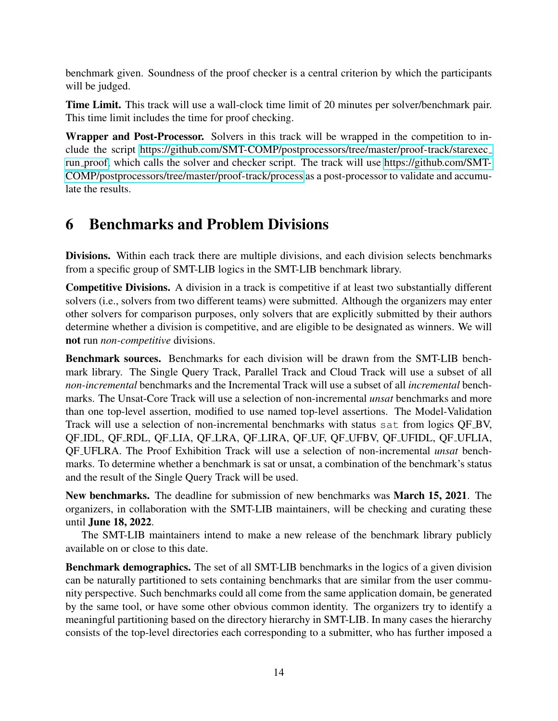benchmark given. Soundness of the proof checker is a central criterion by which the participants will be judged.

Time Limit. This track will use a wall-clock time limit of 20 minutes per solver/benchmark pair. This time limit includes the time for proof checking.

Wrapper and Post-Processor. Solvers in this track will be wrapped in the competition to include the script [https://github.com/SMT-COMP/postprocessors/tree/master/proof-track/starexec](https://github.com/SMT-COMP/postprocessors/tree/master/proof-track/starexec_run_proof) run [proof,](https://github.com/SMT-COMP/postprocessors/tree/master/proof-track/starexec_run_proof) which calls the solver and checker script. The track will use [https://github.com/SMT-](https://github.com/SMT-COMP/postprocessors/tree/master/proof-track/process)[COMP/postprocessors/tree/master/proof-track/process](https://github.com/SMT-COMP/postprocessors/tree/master/proof-track/process) as a post-processor to validate and accumulate the results.

# <span id="page-13-0"></span>6 Benchmarks and Problem Divisions

Divisions. Within each track there are multiple divisions, and each division selects benchmarks from a specific group of SMT-LIB logics in the SMT-LIB benchmark library.

Competitive Divisions. A division in a track is competitive if at least two substantially different solvers (i.e., solvers from two different teams) were submitted. Although the organizers may enter other solvers for comparison purposes, only solvers that are explicitly submitted by their authors determine whether a division is competitive, and are eligible to be designated as winners. We will not run *non-competitive* divisions.

Benchmark sources. Benchmarks for each division will be drawn from the SMT-LIB benchmark library. The Single Query Track, Parallel Track and Cloud Track will use a subset of all *non-incremental* benchmarks and the Incremental Track will use a subset of all *incremental* benchmarks. The Unsat-Core Track will use a selection of non-incremental *unsat* benchmarks and more than one top-level assertion, modified to use named top-level assertions. The Model-Validation Track will use a selection of non-incremental benchmarks with status sat from logics QF BV, QF IDL, QF RDL, QF LIA, QF LRA, QF LIRA, QF UF, QF UFBV, QF UFIDL, QF UFLIA, QF UFLRA. The Proof Exhibition Track will use a selection of non-incremental *unsat* benchmarks. To determine whether a benchmark is sat or unsat, a combination of the benchmark's status and the result of the Single Query Track will be used.

New benchmarks. The deadline for submission of new benchmarks was March 15, 2021. The organizers, in collaboration with the SMT-LIB maintainers, will be checking and curating these until June 18, 2022.

The SMT-LIB maintainers intend to make a new release of the benchmark library publicly available on or close to this date.

Benchmark demographics. The set of all SMT-LIB benchmarks in the logics of a given division can be naturally partitioned to sets containing benchmarks that are similar from the user community perspective. Such benchmarks could all come from the same application domain, be generated by the same tool, or have some other obvious common identity. The organizers try to identify a meaningful partitioning based on the directory hierarchy in SMT-LIB. In many cases the hierarchy consists of the top-level directories each corresponding to a submitter, who has further imposed a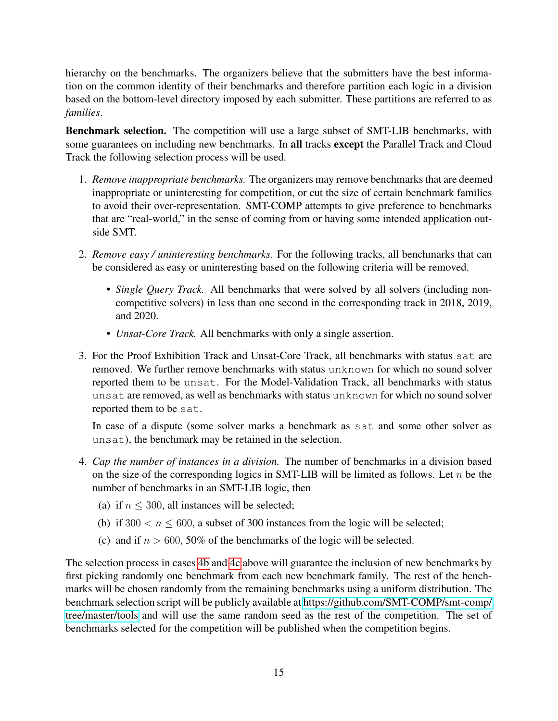hierarchy on the benchmarks. The organizers believe that the submitters have the best information on the common identity of their benchmarks and therefore partition each logic in a division based on the bottom-level directory imposed by each submitter. These partitions are referred to as *families*.

Benchmark selection. The competition will use a large subset of SMT-LIB benchmarks, with some guarantees on including new benchmarks. In all tracks except the Parallel Track and Cloud Track the following selection process will be used.

- 1. *Remove inappropriate benchmarks.* The organizers may remove benchmarks that are deemed inappropriate or uninteresting for competition, or cut the size of certain benchmark families to avoid their over-representation. SMT-COMP attempts to give preference to benchmarks that are "real-world," in the sense of coming from or having some intended application outside SMT.
- 2. *Remove easy / uninteresting benchmarks.* For the following tracks, all benchmarks that can be considered as easy or uninteresting based on the following criteria will be removed.
	- *Single Query Track.* All benchmarks that were solved by all solvers (including noncompetitive solvers) in less than one second in the corresponding track in 2018, 2019, and 2020.
	- *Unsat-Core Track*. All benchmarks with only a single assertion.
- 3. For the Proof Exhibition Track and Unsat-Core Track, all benchmarks with status sat are removed. We further remove benchmarks with status unknown for which no sound solver reported them to be unsat. For the Model-Validation Track, all benchmarks with status unsat are removed, as well as benchmarks with status unknown for which no sound solver reported them to be sat.

In case of a dispute (some solver marks a benchmark as sat and some other solver as unsat), the benchmark may be retained in the selection.

- 4. *Cap the number of instances in a division.* The number of benchmarks in a division based on the size of the corresponding logics in SMT-LIB will be limited as follows. Let  $n$  be the number of benchmarks in an SMT-LIB logic, then
	- (a) if  $n \leq 300$ , all instances will be selected;
	- (b) if  $300 < n \le 600$ , a subset of 300 instances from the logic will be selected;
	- (c) and if  $n > 600$ , 50% of the benchmarks of the logic will be selected.

<span id="page-14-1"></span><span id="page-14-0"></span>The selection process in cases [4b](#page-14-0) and [4c](#page-14-1) above will guarantee the inclusion of new benchmarks by first picking randomly one benchmark from each new benchmark family. The rest of the benchmarks will be chosen randomly from the remaining benchmarks using a uniform distribution. The benchmark selection script will be publicly available at [https://github.com/SMT-COMP/smt-comp/](https://github.com/SMT-COMP/smt-comp/tree/master/tools) [tree/master/tools](https://github.com/SMT-COMP/smt-comp/tree/master/tools) and will use the same random seed as the rest of the competition. The set of benchmarks selected for the competition will be published when the competition begins.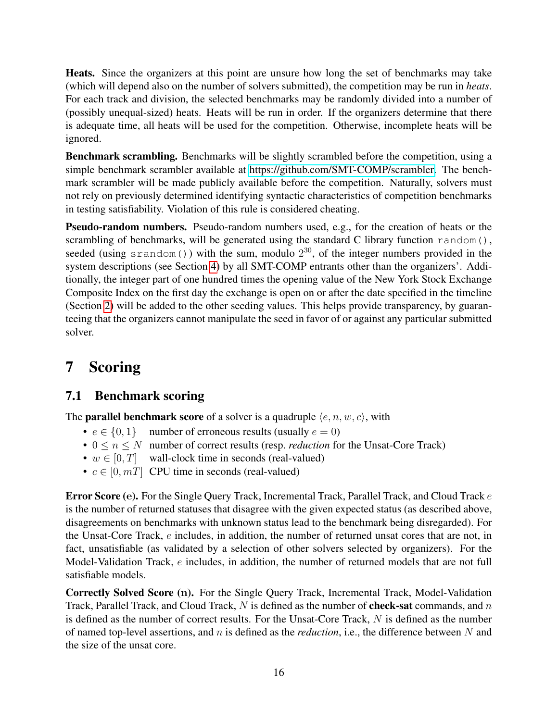Heats. Since the organizers at this point are unsure how long the set of benchmarks may take (which will depend also on the number of solvers submitted), the competition may be run in *heats*. For each track and division, the selected benchmarks may be randomly divided into a number of (possibly unequal-sized) heats. Heats will be run in order. If the organizers determine that there is adequate time, all heats will be used for the competition. Otherwise, incomplete heats will be ignored.

Benchmark scrambling. Benchmarks will be slightly scrambled before the competition, using a simple benchmark scrambler available at [https://github.com/SMT-COMP/scrambler.](https://github.com/SMT-COMP/scrambler) The benchmark scrambler will be made publicly available before the competition. Naturally, solvers must not rely on previously determined identifying syntactic characteristics of competition benchmarks in testing satisfiability. Violation of this rule is considered cheating.

Pseudo-random numbers. Pseudo-random numbers used, e.g., for the creation of heats or the scrambling of benchmarks, will be generated using the standard C library function random(), seeded (using  $s$ random()) with the sum, modulo  $2^{30}$ , of the integer numbers provided in the system descriptions (see Section [4\)](#page-3-0) by all SMT-COMP entrants other than the organizers'. Additionally, the integer part of one hundred times the opening value of the New York Stock Exchange Composite Index on the first day the exchange is open on or after the date specified in the timeline (Section [2\)](#page-1-1) will be added to the other seeding values. This helps provide transparency, by guaranteeing that the organizers cannot manipulate the seed in favor of or against any particular submitted solver.

# <span id="page-15-0"></span>7 Scoring

## <span id="page-15-1"></span>7.1 Benchmark scoring

The **parallel benchmark score** of a solver is a quadruple  $\langle e, n, w, c \rangle$ , with

- $e \in \{0, 1\}$  number of erroneous results (usually  $e = 0$ )
- $0 \le n \le N$  number of correct results (resp. *reduction* for the Unsat-Core Track)
- $w \in [0, T]$  wall-clock time in seconds (real-valued)
- $c \in [0, m]$  CPU time in seconds (real-valued)

Error Score (e). For the Single Query Track, Incremental Track, Parallel Track, and Cloud Track e is the number of returned statuses that disagree with the given expected status (as described above, disagreements on benchmarks with unknown status lead to the benchmark being disregarded). For the Unsat-Core Track, e includes, in addition, the number of returned unsat cores that are not, in fact, unsatisfiable (as validated by a selection of other solvers selected by organizers). For the Model-Validation Track, e includes, in addition, the number of returned models that are not full satisfiable models.

Correctly Solved Score (n). For the Single Query Track, Incremental Track, Model-Validation Track, Parallel Track, and Cloud Track,  $N$  is defined as the number of **check-sat** commands, and  $n$ is defined as the number of correct results. For the Unsat-Core Track, N is defined as the number of named top-level assertions, and n is defined as the *reduction*, i.e., the difference between N and the size of the unsat core.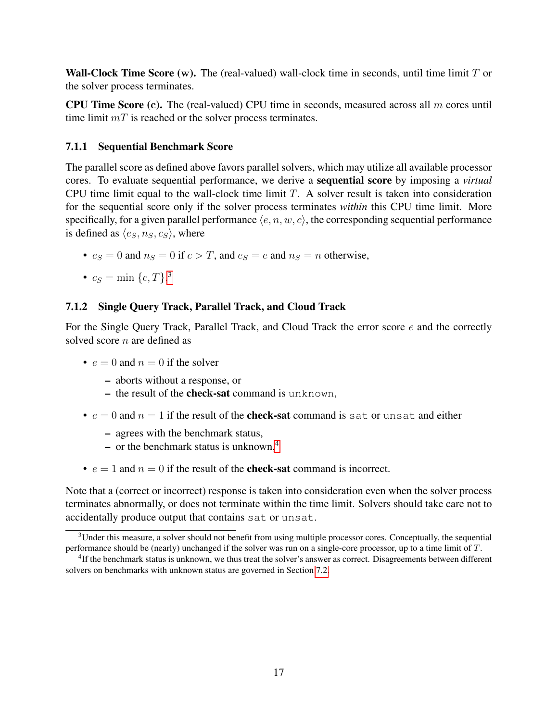**Wall-Clock Time Score (w).** The (real-valued) wall-clock time in seconds, until time limit  $T$  or the solver process terminates.

**CPU Time Score (c).** The (real-valued) CPU time in seconds, measured across all  $m$  cores until time limit  $mT$  is reached or the solver process terminates.

#### 7.1.1 Sequential Benchmark Score

The parallel score as defined above favors parallel solvers, which may utilize all available processor cores. To evaluate sequential performance, we derive a sequential score by imposing a *virtual* CPU time limit equal to the wall-clock time limit T. A solver result is taken into consideration for the sequential score only if the solver process terminates *within* this CPU time limit. More specifically, for a given parallel performance  $\langle e, n, w, c \rangle$ , the corresponding sequential performance is defined as  $\langle e_S, n_S, c_S \rangle$ , where

- $e_S = 0$  and  $n_S = 0$  if  $c > T$ , and  $e_S = e$  and  $n_S = n$  otherwise,
- $c_S = \min\{c, T\}$ .<sup>[3](#page-16-0)</sup>

#### 7.1.2 Single Query Track, Parallel Track, and Cloud Track

For the Single Query Track, Parallel Track, and Cloud Track the error score  $e$  and the correctly solved score *n* are defined as

- $e = 0$  and  $n = 0$  if the solver
	- aborts without a response, or
	- the result of the **check-sat** command is unknown,
- $e = 0$  and  $n = 1$  if the result of the **check-sat** command is sat or unsat and either
	- agrees with the benchmark status,
	- or the benchmark status is unknown, $4$
- $e = 1$  and  $n = 0$  if the result of the **check-sat** command is incorrect.

Note that a (correct or incorrect) response is taken into consideration even when the solver process terminates abnormally, or does not terminate within the time limit. Solvers should take care not to accidentally produce output that contains sat or unsat.

<span id="page-16-0"></span> $3$ Under this measure, a solver should not benefit from using multiple processor cores. Conceptually, the sequential performance should be (nearly) unchanged if the solver was run on a single-core processor, up to a time limit of T.

<span id="page-16-1"></span><sup>&</sup>lt;sup>4</sup>If the benchmark status is unknown, we thus treat the solver's answer as correct. Disagreements between different solvers on benchmarks with unknown status are governed in Section [7.2.](#page-18-0)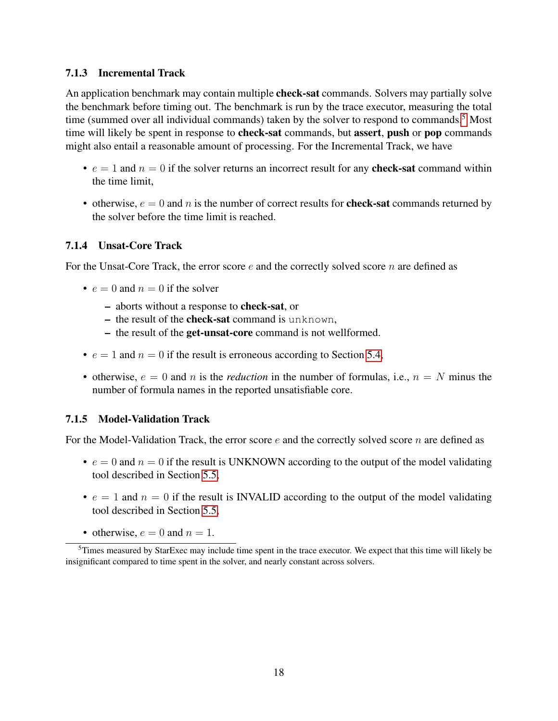#### 7.1.3 Incremental Track

An application benchmark may contain multiple **check-sat** commands. Solvers may partially solve the benchmark before timing out. The benchmark is run by the trace executor, measuring the total time (summed over all individual commands) taken by the solver to respond to commands.<sup>[5](#page-17-0)</sup> Most time will likely be spent in response to check-sat commands, but assert, push or pop commands might also entail a reasonable amount of processing. For the Incremental Track, we have

- $e = 1$  and  $n = 0$  if the solver returns an incorrect result for any **check-sat** command within the time limit,
- otherwise,  $e = 0$  and n is the number of correct results for **check-sat** commands returned by the solver before the time limit is reached.

### 7.1.4 Unsat-Core Track

For the Unsat-Core Track, the error score  $e$  and the correctly solved score  $n$  are defined as

- $e = 0$  and  $n = 0$  if the solver
	- aborts without a response to check-sat, or
	- the result of the **check-sat** command is unknown,
	- the result of the get-unsat-core command is not wellformed.
- $e = 1$  and  $n = 0$  if the result is erroneous according to Section [5.4,](#page-9-0)
- otherwise,  $e = 0$  and n is the *reduction* in the number of formulas, i.e.,  $n = N$  minus the number of formula names in the reported unsatisfiable core.

### 7.1.5 Model-Validation Track

For the Model-Validation Track, the error score  $e$  and the correctly solved score n are defined as

- $e = 0$  and  $n = 0$  if the result is UNKNOWN according to the output of the model validating tool described in Section [5.5,](#page-10-0)
- $e = 1$  and  $n = 0$  if the result is INVALID according to the output of the model validating tool described in Section [5.5,](#page-10-0)
- <span id="page-17-0"></span>• otherwise,  $e = 0$  and  $n = 1$ .

<sup>&</sup>lt;sup>5</sup>Times measured by StarExec may include time spent in the trace executor. We expect that this time will likely be insignificant compared to time spent in the solver, and nearly constant across solvers.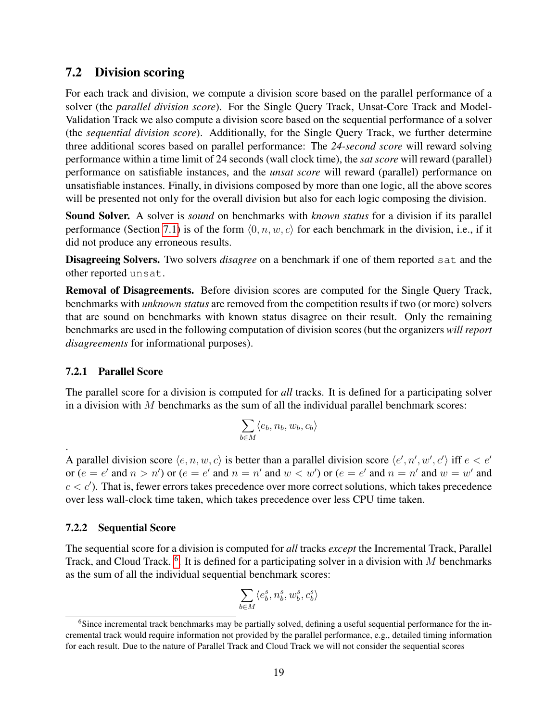## <span id="page-18-0"></span>7.2 Division scoring

For each track and division, we compute a division score based on the parallel performance of a solver (the *parallel division score*). For the Single Query Track, Unsat-Core Track and Model-Validation Track we also compute a division score based on the sequential performance of a solver (the *sequential division score*). Additionally, for the Single Query Track, we further determine three additional scores based on parallel performance: The *24-second score* will reward solving performance within a time limit of 24 seconds (wall clock time), the *sat score* will reward (parallel) performance on satisfiable instances, and the *unsat score* will reward (parallel) performance on unsatisfiable instances. Finally, in divisions composed by more than one logic, all the above scores will be presented not only for the overall division but also for each logic composing the division.

Sound Solver. A solver is *sound* on benchmarks with *known status* for a division if its parallel performance (Section [7.1\)](#page-15-1) is of the form  $\langle 0, n, w, c \rangle$  for each benchmark in the division, i.e., if it did not produce any erroneous results.

Disagreeing Solvers. Two solvers *disagree* on a benchmark if one of them reported sat and the other reported unsat.

Removal of Disagreements. Before division scores are computed for the Single Query Track, benchmarks with *unknown status* are removed from the competition results if two (or more) solvers that are sound on benchmarks with known status disagree on their result. Only the remaining benchmarks are used in the following computation of division scores (but the organizers *will report disagreements* for informational purposes).

### 7.2.1 Parallel Score

.

The parallel score for a division is computed for *all* tracks. It is defined for a participating solver in a division with  $M$  benchmarks as the sum of all the individual parallel benchmark scores:

$$
\sum_{b\in M}\langle e_b,n_b,w_b,c_b\rangle
$$

A parallel division score  $\langle e, n, w, c \rangle$  is better than a parallel division score  $\langle e', n', w', c' \rangle$  iff  $e < e'$ or  $(e = e'$  and  $n > n'$ ) or  $(e = e'$  and  $n = n'$  and  $w < w'$ ) or  $(e = e'$  and  $n = n'$  and  $w = w'$  and  $c < c'$ ). That is, fewer errors takes precedence over more correct solutions, which takes precedence over less wall-clock time taken, which takes precedence over less CPU time taken.

### 7.2.2 Sequential Score

The sequential score for a division is computed for *all* tracks *except* the Incremental Track, Parallel Track, and Cloud Track. <sup>[6](#page-18-1)</sup>. It is defined for a participating solver in a division with M benchmarks as the sum of all the individual sequential benchmark scores:

$$
\sum_{b\in M}\langle e^s_b,n^s_b,w^s_b,c^s_b\rangle
$$

<span id="page-18-1"></span><sup>&</sup>lt;sup>6</sup>Since incremental track benchmarks may be partially solved, defining a useful sequential performance for the incremental track would require information not provided by the parallel performance, e.g., detailed timing information for each result. Due to the nature of Parallel Track and Cloud Track we will not consider the sequential scores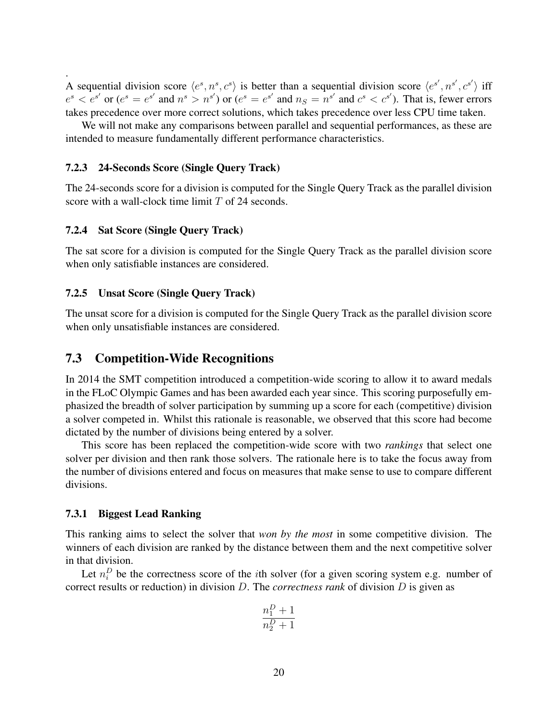. A sequential division score  $\langle e^s, n^s, c^s \rangle$  is better than a sequential division score  $\langle e^{s'}, n^{s'}, c^{s'} \rangle$  iff  $e^s < e^{s'}$  or  $(e^s = e^{s'}$  and  $n^s > n^{s'}$ ) or  $(e^s = e^{s'}$  and  $n_S = n^{s'}$  and  $c^s < c^{s'}$ ). That is, fewer errors takes precedence over more correct solutions, which takes precedence over less CPU time taken.

We will not make any comparisons between parallel and sequential performances, as these are intended to measure fundamentally different performance characteristics.

#### 7.2.3 24-Seconds Score (Single Query Track)

The 24-seconds score for a division is computed for the Single Query Track as the parallel division score with a wall-clock time limit T of 24 seconds.

#### 7.2.4 Sat Score (Single Query Track)

The sat score for a division is computed for the Single Query Track as the parallel division score when only satisfiable instances are considered.

#### 7.2.5 Unsat Score (Single Query Track)

The unsat score for a division is computed for the Single Query Track as the parallel division score when only unsatisfiable instances are considered.

#### 7.3 Competition-Wide Recognitions

In 2014 the SMT competition introduced a competition-wide scoring to allow it to award medals in the FLoC Olympic Games and has been awarded each year since. This scoring purposefully emphasized the breadth of solver participation by summing up a score for each (competitive) division a solver competed in. Whilst this rationale is reasonable, we observed that this score had become dictated by the number of divisions being entered by a solver.

This score has been replaced the competition-wide score with two *rankings* that select one solver per division and then rank those solvers. The rationale here is to take the focus away from the number of divisions entered and focus on measures that make sense to use to compare different divisions.

#### 7.3.1 Biggest Lead Ranking

This ranking aims to select the solver that *won by the most* in some competitive division. The winners of each division are ranked by the distance between them and the next competitive solver in that division.

Let  $n_i^D$  be the correctness score of the *i*th solver (for a given scoring system e.g. number of correct results or reduction) in division D. The *correctness rank* of division D is given as

$$
\frac{n_1^D+1}{n_2^D+1}
$$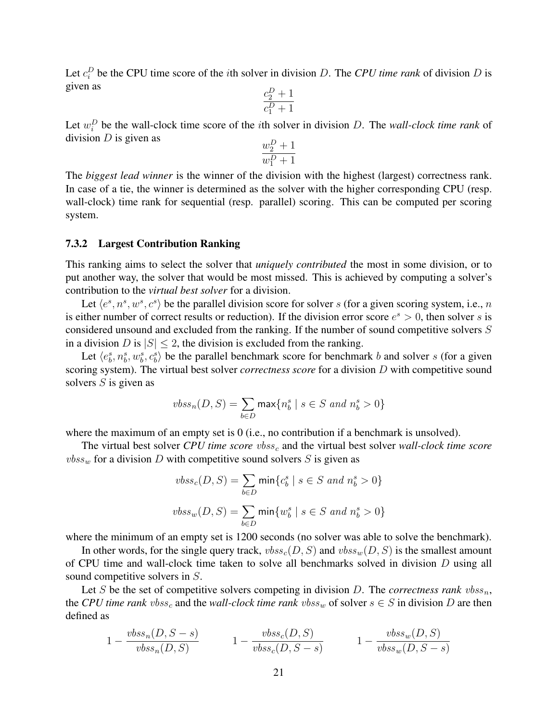Let  $c_i^D$  be the CPU time score of the *i*th solver in division D. The *CPU time rank* of division D is given as

$$
\frac{c_2^D + 1}{c_1^D + 1}
$$

Let  $w_i^D$  be the wall-clock time score of the *i*th solver in division D. The *wall-clock time rank* of division  $D$  is given as

$$
\frac{w_2^D+1}{w_1^D+1}
$$

The *biggest lead winner* is the winner of the division with the highest (largest) correctness rank. In case of a tie, the winner is determined as the solver with the higher corresponding CPU (resp. wall-clock) time rank for sequential (resp. parallel) scoring. This can be computed per scoring system.

#### 7.3.2 Largest Contribution Ranking

This ranking aims to select the solver that *uniquely contributed* the most in some division, or to put another way, the solver that would be most missed. This is achieved by computing a solver's contribution to the *virtual best solver* for a division.

Let  $\langle e^s, n^s, w^s, c^s \rangle$  be the parallel division score for solver s (for a given scoring system, i.e., n is either number of correct results or reduction). If the division error score  $e^s > 0$ , then solver s is considered unsound and excluded from the ranking. If the number of sound competitive solvers S in a division D is  $|S| \leq 2$ , the division is excluded from the ranking.

Let  $\langle e_b^s, n_b^s, w_b^s, c_b^s \rangle$  be the parallel benchmark score for benchmark b and solver s (for a given scoring system). The virtual best solver *correctness score* for a division D with competitive sound solvers  $S$  is given as

$$
vbss_n(D,S) = \sum_{b \in D} \max\{n_b^s \mid s \in S \ and \ n_b^s > 0\}
$$

where the maximum of an empty set is 0 (i.e., no contribution if a benchmark is unsolved).

The virtual best solver *CPU time score vbss<sub>c</sub>* and the virtual best solver *wall-clock time score*  $vbss_w$  for a division D with competitive sound solvers S is given as

$$
vbss_c(D, S) = \sum_{b \in D} \min \{c_b^s \mid s \in S \text{ and } n_b^s > 0\}
$$
  

$$
vbss_w(D, S) = \sum_{b \in D} \min \{w_b^s \mid s \in S \text{ and } n_b^s > 0\}
$$

where the minimum of an empty set is 1200 seconds (no solver was able to solve the benchmark).

In other words, for the single query track,  $vbss_c(D, S)$  and  $vbss_w(D, S)$  is the smallest amount of CPU time and wall-clock time taken to solve all benchmarks solved in division  $D$  using all sound competitive solvers in S.

Let S be the set of competitive solvers competing in division  $D$ . The *correctness rank*  $vbss_n$ , the *CPU time rank*  $vbss_c$  and the *wall-clock time rank*  $vbss_w$  of solver  $s \in S$  in division D are then defined as

$$
1 - \frac{vbss_n(D, S - s)}{vbss_n(D, S)} \qquad \qquad 1 - \frac{vbss_c(D, S)}{vbss_c(D, S - s)} \qquad \qquad 1 - \frac{vbss_w(D, S)}{vbss_w(D, S - s)}
$$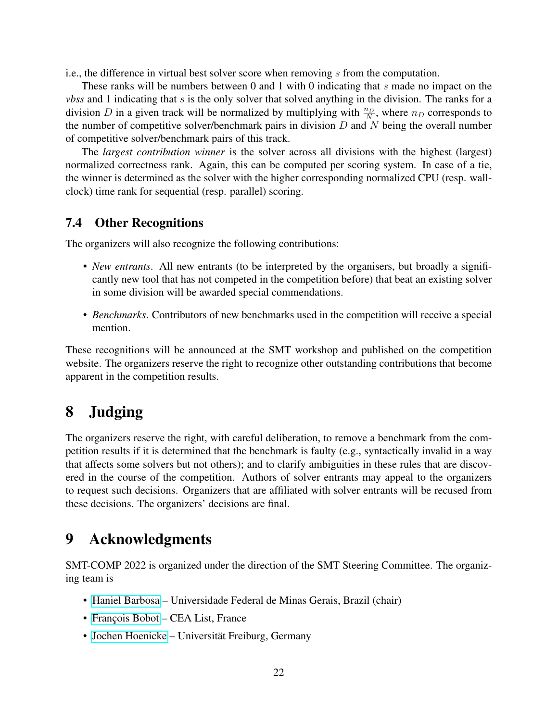i.e., the difference in virtual best solver score when removing s from the computation.

These ranks will be numbers between 0 and 1 with 0 indicating that s made no impact on the *vbss* and 1 indicating that s is the only solver that solved anything in the division. The ranks for a division D in a given track will be normalized by multiplying with  $\frac{n_D}{N}$ , where  $n_D$  corresponds to the number of competitive solver/benchmark pairs in division  $D$  and  $N$  being the overall number of competitive solver/benchmark pairs of this track.

The *largest contribution winner* is the solver across all divisions with the highest (largest) normalized correctness rank. Again, this can be computed per scoring system. In case of a tie, the winner is determined as the solver with the higher corresponding normalized CPU (resp. wallclock) time rank for sequential (resp. parallel) scoring.

### 7.4 Other Recognitions

The organizers will also recognize the following contributions:

- *New entrants*. All new entrants (to be interpreted by the organisers, but broadly a significantly new tool that has not competed in the competition before) that beat an existing solver in some division will be awarded special commendations.
- *Benchmarks*. Contributors of new benchmarks used in the competition will receive a special mention.

These recognitions will be announced at the SMT workshop and published on the competition website. The organizers reserve the right to recognize other outstanding contributions that become apparent in the competition results.

# 8 Judging

The organizers reserve the right, with careful deliberation, to remove a benchmark from the competition results if it is determined that the benchmark is faulty (e.g., syntactically invalid in a way that affects some solvers but not others); and to clarify ambiguities in these rules that are discovered in the course of the competition. Authors of solver entrants may appeal to the organizers to request such decisions. Organizers that are affiliated with solver entrants will be recused from these decisions. The organizers' decisions are final.

## 9 Acknowledgments

SMT-COMP 2022 is organized under the direction of the SMT Steering Committee. The organizing team is

- [Haniel Barbosa](http://homepages.dcc.ufmg.br/~hbarbosa/) Universidade Federal de Minas Gerais, Brazil (chair)
- François Bobot CEA List, France
- [Jochen Hoenicke](https://jochen-hoenicke.de/) Universität Freiburg, Germany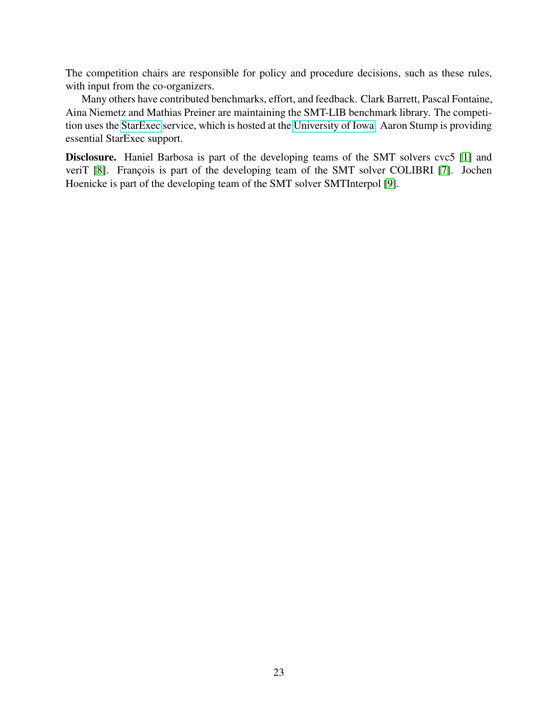The competition chairs are responsible for policy and procedure decisions, such as these rules, with input from the co-organizers.

Many others have contributed benchmarks, effort, and feedback. Clark Barrett, Pascal Fontaine, Aina Niemetz and Mathias Preiner are maintaining the SMT-LIB benchmark library. The competition uses the [StarExec](https://www.starexec.org/) service, which is hosted at the [University of Iowa.](http://www.cs.uiowa.edu/) Aaron Stump is providing essential StarExec support.

Disclosure. Haniel Barbosa is part of the developing teams of the SMT solvers cvc5 [\[1\]](#page-23-8) and veriT [\[8\]](#page-23-9). François is part of the developing team of the SMT solver COLIBRI [\[7\]](#page-23-10). Jochen Hoenicke is part of the developing team of the SMT solver SMTInterpol [\[9\]](#page-23-11).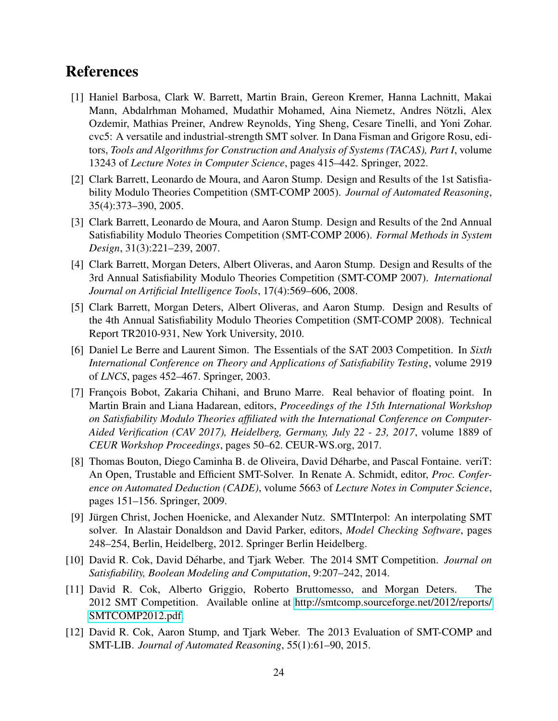## References

- <span id="page-23-8"></span>[1] Haniel Barbosa, Clark W. Barrett, Martin Brain, Gereon Kremer, Hanna Lachnitt, Makai Mann, Abdalrhman Mohamed, Mudathir Mohamed, Aina Niemetz, Andres Notzli, Alex ¨ Ozdemir, Mathias Preiner, Andrew Reynolds, Ying Sheng, Cesare Tinelli, and Yoni Zohar. cvc5: A versatile and industrial-strength SMT solver. In Dana Fisman and Grigore Rosu, editors, *Tools and Algorithms for Construction and Analysis of Systems (TACAS), Part I*, volume 13243 of *Lecture Notes in Computer Science*, pages 415–442. Springer, 2022.
- <span id="page-23-1"></span>[2] Clark Barrett, Leonardo de Moura, and Aaron Stump. Design and Results of the 1st Satisfiability Modulo Theories Competition (SMT-COMP 2005). *Journal of Automated Reasoning*, 35(4):373–390, 2005.
- <span id="page-23-2"></span>[3] Clark Barrett, Leonardo de Moura, and Aaron Stump. Design and Results of the 2nd Annual Satisfiability Modulo Theories Competition (SMT-COMP 2006). *Formal Methods in System Design*, 31(3):221–239, 2007.
- <span id="page-23-3"></span>[4] Clark Barrett, Morgan Deters, Albert Oliveras, and Aaron Stump. Design and Results of the 3rd Annual Satisfiability Modulo Theories Competition (SMT-COMP 2007). *International Journal on Artificial Intelligence Tools*, 17(4):569–606, 2008.
- <span id="page-23-4"></span>[5] Clark Barrett, Morgan Deters, Albert Oliveras, and Aaron Stump. Design and Results of the 4th Annual Satisfiability Modulo Theories Competition (SMT-COMP 2008). Technical Report TR2010-931, New York University, 2010.
- <span id="page-23-0"></span>[6] Daniel Le Berre and Laurent Simon. The Essentials of the SAT 2003 Competition. In *Sixth International Conference on Theory and Applications of Satisfiability Testing*, volume 2919 of *LNCS*, pages 452–467. Springer, 2003.
- <span id="page-23-10"></span>[7] François Bobot, Zakaria Chihani, and Bruno Marre. Real behavior of floating point. In Martin Brain and Liana Hadarean, editors, *Proceedings of the 15th International Workshop on Satisfiability Modulo Theories affiliated with the International Conference on Computer-Aided Verification (CAV 2017), Heidelberg, Germany, July 22 - 23, 2017*, volume 1889 of *CEUR Workshop Proceedings*, pages 50–62. CEUR-WS.org, 2017.
- <span id="page-23-9"></span>[8] Thomas Bouton, Diego Caminha B. de Oliveira, David Déharbe, and Pascal Fontaine. veriT: An Open, Trustable and Efficient SMT-Solver. In Renate A. Schmidt, editor, *Proc. Conference on Automated Deduction (CADE)*, volume 5663 of *Lecture Notes in Computer Science*, pages 151–156. Springer, 2009.
- <span id="page-23-11"></span>[9] Jürgen Christ, Jochen Hoenicke, and Alexander Nutz. SMTInterpol: An interpolating SMT solver. In Alastair Donaldson and David Parker, editors, *Model Checking Software*, pages 248–254, Berlin, Heidelberg, 2012. Springer Berlin Heidelberg.
- <span id="page-23-5"></span>[10] David R. Cok, David Déharbe, and Tjark Weber. The 2014 SMT Competition. *Journal on Satisfiability, Boolean Modeling and Computation*, 9:207–242, 2014.
- <span id="page-23-6"></span>[11] David R. Cok, Alberto Griggio, Roberto Bruttomesso, and Morgan Deters. The 2012 SMT Competition. Available online at [http://smtcomp.sourceforge.net/2012/reports/](http://smtcomp.sourceforge.net/2012/reports/SMTCOMP2012.pdf) [SMTCOMP2012.pdf.](http://smtcomp.sourceforge.net/2012/reports/SMTCOMP2012.pdf)
- <span id="page-23-7"></span>[12] David R. Cok, Aaron Stump, and Tjark Weber. The 2013 Evaluation of SMT-COMP and SMT-LIB. *Journal of Automated Reasoning*, 55(1):61–90, 2015.